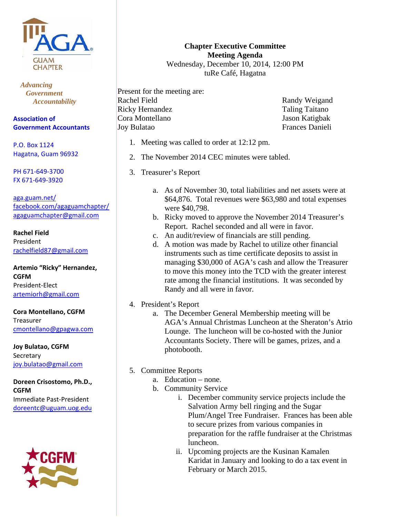

 *Advancing Government Accountability* 

**Association of Government Accountants**

P.O. Box 1124 Hagatna, Guam 96932

PH 671‐649‐3700 FX 671‐649‐3920

aga.guam.net/ facebook.com/agaguamchapter/ agaguamchapter@gmail.com

**Rachel Field** President rachelfield87@gmail.com

**Artemio "Ricky" Hernandez, CGFM** President‐Elect artemiorh@gmail.com

**Cora Montellano, CGFM** Treasurer cmontellano@gpagwa.com

**Joy Bulatao, CGFM** Secretary joy.bulatao@gmail.com

**Doreen Crisostomo, Ph.D., CGFM** Immediate Past‐President doreentc@uguam.uog.edu



**Chapter Executive Committee Meeting Agenda**  Wednesday, December 10, 2014, 12:00 PM

tuRe Café, Hagatna

Present for the meeting are: Rachel Field Ricky Hernandez Cora Montellano Joy Bulatao

Randy Weigand Taling Taitano Jason Katigbak Frances Danieli

- 1. Meeting was called to order at 12:12 pm.
- 2. The November 2014 CEC minutes were tabled.
- 3. Treasurer's Report
	- a. As of November 30, total liabilities and net assets were at \$64,876. Total revenues were \$63,980 and total expenses were \$40,798.
	- b. Ricky moved to approve the November 2014 Treasurer's Report. Rachel seconded and all were in favor.
	- c. An audit/review of financials are still pending.
	- d. A motion was made by Rachel to utilize other financial instruments such as time certificate deposits to assist in managing \$30,000 of AGA's cash and allow the Treasurer to move this money into the TCD with the greater interest rate among the financial institutions. It was seconded by Randy and all were in favor.
- 4. President's Report
	- a. The December General Membership meeting will be AGA's Annual Christmas Luncheon at the Sheraton's Atrio Lounge. The luncheon will be co-hosted with the Junior Accountants Society. There will be games, prizes, and a photobooth.
- 5. Committee Reports
	- a. Education none.
	- b. Community Service
		- i. December community service projects include the Salvation Army bell ringing and the Sugar Plum/Angel Tree Fundraiser. Frances has been able to secure prizes from various companies in preparation for the raffle fundraiser at the Christmas luncheon.
		- ii. Upcoming projects are the Kusinan Kamalen Karidat in January and looking to do a tax event in February or March 2015.